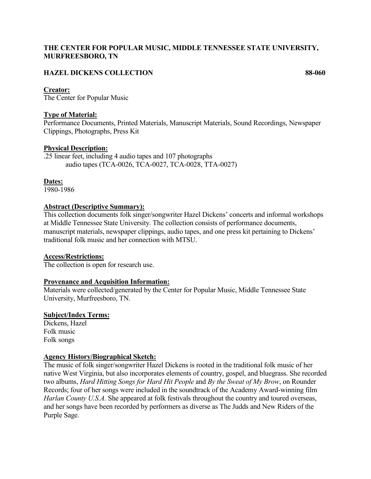## **THE CENTER FOR POPULAR MUSIC, MIDDLE TENNESSEE STATE UNIVERSITY, MURFREESBORO, TN**

## **HAZEL DICKENS COLLECTION 88-060**

### **Creator:**

The Center for Popular Music

### **Type of Material:**

Performance Documents, Printed Materials, Manuscript Materials, Sound Recordings, Newspaper Clippings, Photographs, Press Kit

### **Physical Description:**

.25 linear feet, including 4 audio tapes and 107 photographs audio tapes (TCA-0026, TCA-0027, TCA-0028, TTA-0027)

**Dates:**

1980-1986

### **Abstract (Descriptive Summary):**

This collection documents folk singer/songwriter Hazel Dickens' concerts and informal workshops at Middle Tennessee State University. The collection consists of performance documents, manuscript materials, newspaper clippings, audio tapes, and one press kit pertaining to Dickens' traditional folk music and her connection with MTSU.

#### **Access/Restrictions:**

The collection is open for research use.

### **Provenance and Acquisition Information:**

Materials were collected/generated by the Center for Popular Music, Middle Tennessee State University, Murfreesboro, TN.

#### **Subject/Index Terms:**

Dickens, Hazel Folk music Folk songs

### **Agency History/Biographical Sketch:**

The music of folk singer/songwriter Hazel Dickens is rooted in the traditional folk music of her native West Virginia, but also incorporates elements of country, gospel, and bluegrass. She recorded two albums, *Hard Hitting Songs for Hard Hit People* and *By the Sweat of My Brow*, on Rounder Records; four of her songs were included in the soundtrack of the Academy Award-winning film *Harlan County U.S.A.* She appeared at folk festivals throughout the country and toured overseas, and her songs have been recorded by performers as diverse as The Judds and New Riders of the Purple Sage.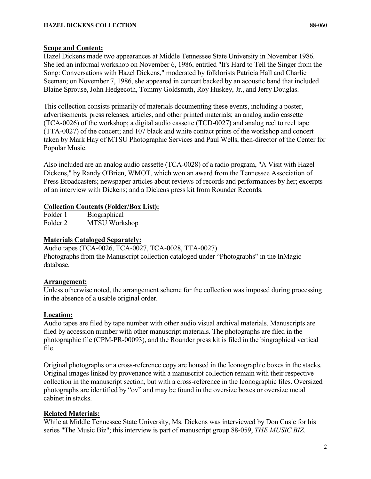### **Scope and Content:**

Hazel Dickens made two appearances at Middle Tennessee State University in November 1986. She led an informal workshop on November 6, 1986, entitled "It's Hard to Tell the Singer from the Song: Conversations with Hazel Dickens," moderated by folklorists Patricia Hall and Charlie Seeman; on November 7, 1986, she appeared in concert backed by an acoustic band that included Blaine Sprouse, John Hedgecoth, Tommy Goldsmith, Roy Huskey, Jr., and Jerry Douglas.

This collection consists primarily of materials documenting these events, including a poster, advertisements, press releases, articles, and other printed materials; an analog audio cassette (TCA-0026) of the workshop; a digital audio cassette (TCD-0027) and analog reel to reel tape (TTA-0027) of the concert; and 107 black and white contact prints of the workshop and concert taken by Mark Hay of MTSU Photographic Services and Paul Wells, then-director of the Center for Popular Music.

Also included are an analog audio cassette (TCA-0028) of a radio program, "A Visit with Hazel Dickens," by Randy O'Brien, WMOT, which won an award from the Tennessee Association of Press Broadcasters; newspaper articles about reviews of records and performances by her; excerpts of an interview with Dickens; and a Dickens press kit from Rounder Records.

## **Collection Contents (Folder/Box List):**

Folder 1 Biographical Folder 2 MTSU Workshop

## **Materials Cataloged Separately:**

Audio tapes (TCA-0026, TCA-0027, TCA-0028, TTA-0027) Photographs from the Manuscript collection cataloged under "Photographs" in the InMagic database.

# **Arrangement:**

Unless otherwise noted, the arrangement scheme for the collection was imposed during processing in the absence of a usable original order.

# **Location:**

Audio tapes are filed by tape number with other audio visual archival materials. Manuscripts are filed by accession number with other manuscript materials. The photographs are filed in the photographic file (CPM-PR-00093), and the Rounder press kit is filed in the biographical vertical file.

Original photographs or a cross-reference copy are housed in the Iconographic boxes in the stacks. Original images linked by provenance with a manuscript collection remain with their respective collection in the manuscript section, but with a cross-reference in the Iconographic files. Oversized photographs are identified by "ov" and may be found in the oversize boxes or oversize metal cabinet in stacks.

# **Related Materials:**

While at Middle Tennessee State University, Ms. Dickens was interviewed by Don Cusic for his series "The Music Biz"; this interview is part of manuscript group 88-059, *THE MUSIC BIZ.*